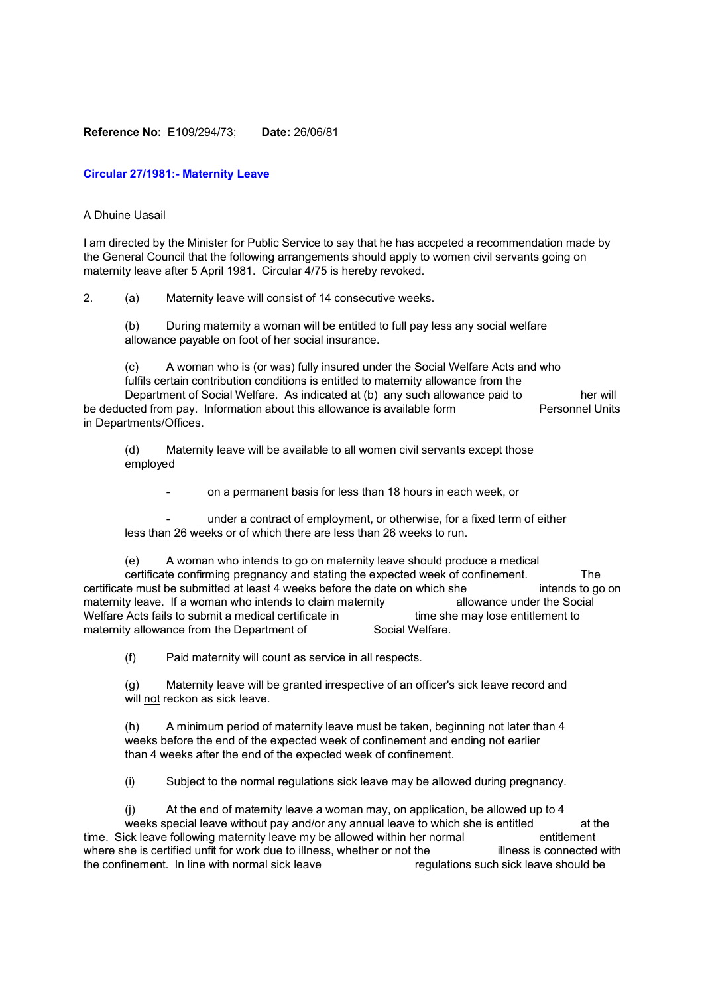## **Reference No:** E109/294/73; **Date:** 26/06/81

## **Circular 27/1981:- Maternity Leave**

## A Dhuine Uasail

I am directed by the Minister for Public Service to say that he has accpeted a recommendation made by the General Council that the following arrangements should apply to women civil servants going on maternity leave after 5 April 1981. Circular 4/75 is hereby revoked.

2. (a) Maternity leave will consist of 14 consecutive weeks.

(b) During maternity a woman will be entitled to full pay less any social welfare allowance payable on foot of her social insurance.

(c) A woman who is (or was) fully insured under the Social Welfare Acts and who fulfils certain contribution conditions is entitled to maternity allowance from the Department of Social Welfare. As indicated at (b) any such allowance paid to her will be deducted from pay. Information about this allowance is available form Personnel Units in Departments/Offices.

(d) Maternity leave will be available to all women civil servants except those employed

- on a permanent basis for less than 18 hours in each week, or

under a contract of employment, or otherwise, for a fixed term of either less than 26 weeks or of which there are less than 26 weeks to run.

(e) A woman who intends to go on maternity leave should produce a medical certificate confirming pregnancy and stating the expected week of confinement. The certificate must be submitted at least 4 weeks before the date on which she intends to go on maternity leave. If a woman who intends to claim maternity allowance under the Social Welfare Acts fails to submit a medical certificate in time she may lose entitlement to maternity allowance from the Department of Social Welfare.

(f) Paid maternity will count as service in all respects.

(g) Maternity leave will be granted irrespective of an officer's sick leave record and will not reckon as sick leave.

(h) A minimum period of maternity leave must be taken, beginning not later than 4 weeks before the end of the expected week of confinement and ending not earlier than 4 weeks after the end of the expected week of confinement.

(i) Subject to the normal regulations sick leave may be allowed during pregnancy.

(j) At the end of maternity leave a woman may, on application, be allowed up to 4 weeks special leave without pay and/or any annual leave to which she is entitled at the time. Sick leave following maternity leave my be allowed within her normal entitlement where she is certified unfit for work due to illness, whether or not the illness is connected with the confinement. In line with normal sick leave regulations such sick leave should be